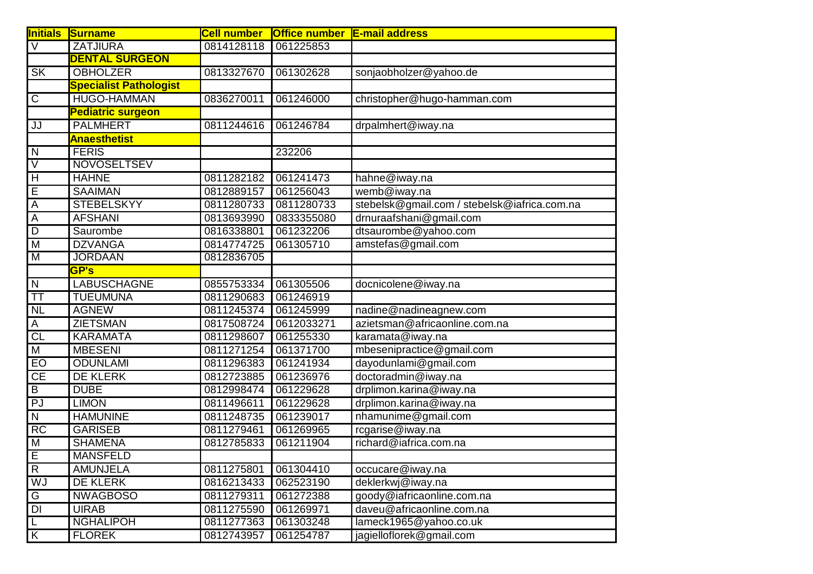| <b>Initials</b>         | Surname                       | <b>Cell number</b> | Office number   E-mail address |                                              |
|-------------------------|-------------------------------|--------------------|--------------------------------|----------------------------------------------|
| $\overline{\mathsf{v}}$ | <b>ZATJIURA</b>               | 0814128118         | 061225853                      |                                              |
|                         | <b>DENTAL SURGEON</b>         |                    |                                |                                              |
| <b>SK</b>               | <b>OBHOLZER</b>               | 0813327670         | 061302628                      | sonjaobholzer@yahoo.de                       |
|                         | <b>Specialist Pathologist</b> |                    |                                |                                              |
| $\overline{C}$          | <b>HUGO-HAMMAN</b>            | 0836270011         | 061246000                      | christopher@hugo-hamman.com                  |
|                         | <b>Pediatric surgeon</b>      |                    |                                |                                              |
| JJ                      | <b>PALMHERT</b>               | 0811244616         | 061246784                      | drpalmhert@iway.na                           |
|                         | <b>Anaesthetist</b>           |                    |                                |                                              |
| $\overline{\mathsf{N}}$ | <b>FERIS</b>                  |                    | 232206                         |                                              |
| $\overline{\vee}$       | <b>NOVOSELTSEV</b>            |                    |                                |                                              |
| H                       | <b>HAHNE</b>                  | 0811282182         | 061241473                      | hahne@iway.na                                |
| $\overline{E}$          | <b>SAAIMAN</b>                | 0812889157         | 061256043                      | $w$ emb $@i$ way.na                          |
| $\overline{A}$          | <b>STEBELSKYY</b>             | 0811280733         | 0811280733                     | stebelsk@gmail.com / stebelsk@iafrica.com.na |
| A                       | <b>AFSHANI</b>                | 0813693990         | 0833355080                     | drnuraafshani@gmail.com                      |
| $\overline{D}$          | Saurombe                      | 0816338801         | 061232206                      | dtsaurombe@yahoo.com                         |
| $\overline{\mathsf{M}}$ | <b>DZVANGA</b>                | 0814774725         | 061305710                      | amstefas@gmail.com                           |
| $\overline{M}$          | <b>JORDAAN</b>                | 0812836705         |                                |                                              |
|                         | <b>GP's</b>                   |                    |                                |                                              |
| $\overline{N}$          | <b>LABUSCHAGNE</b>            | 0855753334         | 061305506                      | docnicolene@iway.na                          |
| $\overline{\mathsf{T}}$ | <b>TUEUMUNA</b>               | 0811290683         | 061246919                      |                                              |
| $\overline{\text{NL}}$  | <b>AGNEW</b>                  | 0811245374         | 061245999                      | nadine@nadineagnew.com                       |
| A                       | <b>ZIETSMAN</b>               | 0817508724         | 0612033271                     | azietsman@africaonline.com.na                |
| $\overline{\text{CL}}$  | <b>KARAMATA</b>               | 0811298607         | 061255330                      | karamata@iway.na                             |
| $\overline{\mathsf{M}}$ | <b>MBESENI</b>                | 0811271254         | 061371700                      | mbesenipractice@gmail.com                    |
| EO                      | <b>ODUNLAMI</b>               | 0811296383         | 061241934                      | dayodunlami@gmail.com                        |
| $\overline{CE}$         | <b>DE KLERK</b>               | 0812723885         | 061236976                      | doctoradmin@iway.na                          |
| $\overline{B}$          | <b>DUBE</b>                   | 0812998474         | 061229628                      | drplimon.karina@iway.na                      |
| $\overline{PJ}$         | <b>LIMON</b>                  | 0811496611         | 061229628                      | drplimon.karina@iway.na                      |
| $\overline{N}$          | <b>HAMUNINE</b>               | 0811248735         | 061239017                      | nhamunime@gmail.com                          |
| RC                      | <b>GARISEB</b>                | 0811279461         | 061269965                      | rcgarise@iway.na                             |
| $\overline{M}$          | <b>SHAMENA</b>                | 0812785833         | 061211904                      | richard@iafrica.com.na                       |
| Έ                       | <b>MANSFELD</b>               |                    |                                |                                              |
| $\overline{R}$          | <b>AMUNJELA</b>               | 0811275801         | 061304410                      | occucare@iway.na                             |
| WJ                      | <b>DE KLERK</b>               | 0816213433         | 062523190                      | deklerkwj@iway.na                            |
| G                       | <b>NWAGBOSO</b>               | 0811279311         | 061272388                      | goody@iafricaonline.com.na                   |
| $\overline{DI}$         | <b>UIRAB</b>                  | 0811275590         | 061269971                      | daveu@africaonline.com.na                    |
| L                       | <b>NGHALIPOH</b>              | 0811277363         | 061303248                      | lameck1965@yahoo.co.uk                       |
| $\overline{K}$          | <b>FLOREK</b>                 | 0812743957         | 061254787                      | jagielloflorek@gmail.com                     |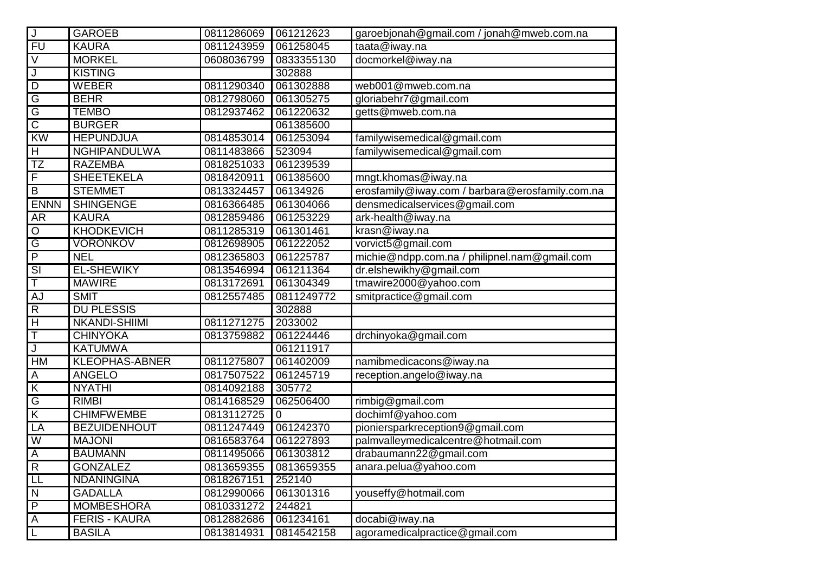| $\sf J$                 | <b>GAROEB</b>         | 0811286069 | 061212623   | garoebjonah@gmail.com / jonah@mweb.com.na       |
|-------------------------|-----------------------|------------|-------------|-------------------------------------------------|
| $\overline{FU}$         | <b>KAURA</b>          | 0811243959 | 061258045   | taata@iway.na                                   |
| $\overline{\vee}$       | <b>MORKEL</b>         | 0608036799 | 0833355130  | docmorkel@iway.na                               |
| J                       | <b>KISTING</b>        |            | 302888      |                                                 |
| $\overline{D}$          | <b>WEBER</b>          | 0811290340 | 061302888   | web001@mweb.com.na                              |
| $\overline{\mathsf{G}}$ | <b>BEHR</b>           | 0812798060 | 061305275   | gloriabehr7@gmail.com                           |
| $\overline{G}$          | <b>TEMBO</b>          | 0812937462 | 061220632   | getts@mweb.com.na                               |
| $\overline{\text{c}}$   | <b>BURGER</b>         |            | 061385600   |                                                 |
| KW                      | <b>HEPUNDJUA</b>      | 0814853014 | 061253094   | familywisemedical@gmail.com                     |
| $\overline{H}$          | <b>NGHIPANDULWA</b>   | 0811483866 | 523094      | familywisemedical@gmail.com                     |
| $\overline{\text{TZ}}$  | <b>RAZEMBA</b>        | 0818251033 | 061239539   |                                                 |
| F                       | <b>SHEETEKELA</b>     | 0818420911 | 061385600   | mngt.khomas@iway.na                             |
| $\overline{B}$          | <b>STEMMET</b>        | 0813324457 | 06134926    | erosfamily@iway.com / barbara@erosfamily.com.na |
| <b>ENNN</b>             | <b>SHINGENGE</b>      | 0816366485 | 061304066   | densmedicalservices@gmail.com                   |
| $\overline{AR}$         | <b>KAURA</b>          | 0812859486 | 061253229   | ark-health@iway.na                              |
| $\mathsf O$             | <b>KHODKEVICH</b>     | 0811285319 | 061301461   | krasn@iway.na                                   |
| $\overline{\mathsf{G}}$ | <b>VORONKOV</b>       | 0812698905 | 061222052   | vorvict5@gmail.com                              |
| $\overline{P}$          | <b>NEL</b>            | 0812365803 | 061225787   | michie@ndpp.com.na / philipnel.nam@gmail.com    |
| $\overline{\text{SI}}$  | <b>EL-SHEWIKY</b>     | 0813546994 | 061211364   | dr.elshewikhy@gmail.com                         |
| Ŧ                       | <b>MAWIRE</b>         | 0813172691 | 061304349   | tmawire2000@yahoo.com                           |
| <b>AJ</b>               | <b>SMIT</b>           | 0812557485 | 0811249772  | smitpractice@gmail.com                          |
| $\overline{R}$          | <b>DU PLESSIS</b>     |            | 302888      |                                                 |
| $\overline{H}$          | <b>NKANDI-SHIIMI</b>  | 0811271275 | 2033002     |                                                 |
| $\overline{\mathsf{T}}$ | <b>CHINYOKA</b>       | 0813759882 | 061224446   | drchinyoka@gmail.com                            |
| J                       | <b>KATUMWA</b>        |            | 061211917   |                                                 |
| HM                      | <b>KLEOPHAS-ABNER</b> | 0811275807 | 061402009   | namibmedicacons@iway.na                         |
| Α                       | <b>ANGELO</b>         | 0817507522 | 061245719   | reception.angelo@iway.na                        |
| $\overline{\mathsf{K}}$ | <b>NYATHI</b>         | 0814092188 | 305772      |                                                 |
| G                       | <b>RIMBI</b>          | 0814168529 | 062506400   | rimbig@gmail.com                                |
| $\overline{\mathsf{K}}$ | <b>CHIMFWEMBE</b>     | 0813112725 | $\mathbf 0$ | dochimf@yahoo.com                               |
| LA                      | <b>BEZUIDENHOUT</b>   | 0811247449 | 061242370   | pioniersparkreception9@gmail.com                |
| $\overline{W}$          | <b>MAJONI</b>         | 0816583764 | 061227893   | palmvalleymedicalcentre@hotmail.com             |
| $\overline{A}$          | <b>BAUMANN</b>        | 0811495066 | 061303812   | drabaumann22@gmail.com                          |
| R                       | <b>GONZALEZ</b>       | 0813659355 | 0813659355  | anara.pelua@yahoo.com                           |
| $\overline{\mathsf{L}}$ | <b>NDANINGINA</b>     | 0818267151 | 252140      |                                                 |
| $\overline{N}$          | <b>GADALLA</b>        | 0812990066 | 061301316   | youseffy@hotmail.com                            |
| $\overline{P}$          | <b>MOMBESHORA</b>     | 0810331272 | 244821      |                                                 |
| $\overline{A}$          | <b>FERIS - KAURA</b>  | 0812882686 | 061234161   | docabi@iway.na                                  |
| L                       | <b>BASILA</b>         | 0813814931 | 0814542158  | agoramedicalpractice@gmail.com                  |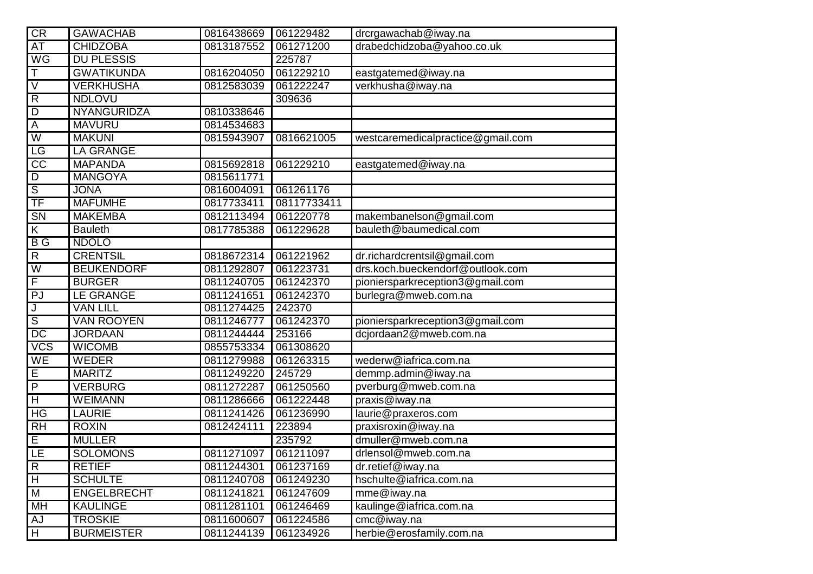| CR                            | <b>GAWACHAB</b>    | 0816438669 | 061229482   | drcrgawachab@iway.na              |
|-------------------------------|--------------------|------------|-------------|-----------------------------------|
| AT                            | <b>CHIDZOBA</b>    | 0813187552 | 061271200   | drabedchidzoba@yahoo.co.uk        |
| $W$ G                         | <b>DU PLESSIS</b>  |            | 225787      |                                   |
| Τ                             | <b>GWATIKUNDA</b>  | 0816204050 | 061229210   | eastgatemed@iway.na               |
| $\overline{\vee}$             | <b>VERKHUSHA</b>   | 0812583039 | 061222247   | verkhusha@iway.na                 |
| $\overline{R}$                | <b>NDLOVU</b>      |            | 309636      |                                   |
| $\overline{D}$                | NYANGURIDZA        | 0810338646 |             |                                   |
| $\overline{A}$                | <b>MAVURU</b>      | 0814534683 |             |                                   |
| $\overline{W}$                | <b>MAKUNI</b>      | 0815943907 | 0816621005  | westcaremedicalpractice@gmail.com |
| LG                            | <b>LA GRANGE</b>   |            |             |                                   |
| $\overline{CC}$               | <b>MAPANDA</b>     | 0815692818 | 061229210   | eastgatemed@iway.na               |
| $\overline{D}$                | <b>MANGOYA</b>     | 0815611771 |             |                                   |
| $\overline{s}$                | <b>JONA</b>        | 0816004091 | 061261176   |                                   |
| $\overline{\text{TF}}$        | <b>MAFUMHE</b>     | 0817733411 | 08117733411 |                                   |
| $\overline{\text{SN}}$        | <b>MAKEMBA</b>     | 0812113494 | 061220778   | makembanelson@gmail.com           |
| $\overline{\mathsf{K}}$       | <b>Bauleth</b>     | 0817785388 | 061229628   | bauleth@baumedical.com            |
| $\overline{B}$ $\overline{G}$ | <b>NDOLO</b>       |            |             |                                   |
| $\overline{R}$                | <b>CRENTSIL</b>    | 0818672314 | 061221962   | dr.richardcrentsil@gmail.com      |
| $\overline{W}$                | <b>BEUKENDORF</b>  | 0811292807 | 061223731   | drs.koch.bueckendorf@outlook.com  |
| $\overline{F}$                | <b>BURGER</b>      | 0811240705 | 061242370   | pioniersparkreception3@gmail.com  |
| PJ                            | <b>LE GRANGE</b>   | 0811241651 | 061242370   | burlegra@mweb.com.na              |
| J                             | <b>VAN LILL</b>    | 0811274425 | 242370      |                                   |
| $\overline{\mathsf{s}}$       | <b>VAN ROOYEN</b>  | 0811246777 | 061242370   | pioniersparkreception3@gmail.com  |
| DC                            | <b>JORDAAN</b>     | 0811244444 | 253166      | dcjordaan2@mweb.com.na            |
| <b>VCS</b>                    | <b>WICOMB</b>      | 0855753334 | 061308620   |                                   |
| WE                            | <b>WEDER</b>       | 0811279988 | 061263315   | wederw@iafrica.com.na             |
| $\overline{E}$                | <b>MARITZ</b>      | 0811249220 | 245729      | demmp.admin@iway.na               |
| $\overline{P}$                | <b>VERBURG</b>     | 0811272287 | 061250560   | pverburg@mweb.com.na              |
| $\overline{H}$                | <b>WEIMANN</b>     | 0811286666 | 061222448   | praxis@iway.na                    |
| HG                            | <b>LAURIE</b>      | 0811241426 | 061236990   | laurie@praxeros.com               |
| <b>RH</b>                     | <b>ROXIN</b>       | 0812424111 | 223894      | praxisroxin@iway.na               |
| $\overline{E}$                | <b>MULLER</b>      |            | 235792      | dmuller@mweb.com.na               |
| LE                            | <b>SOLOMONS</b>    | 0811271097 | 061211097   | drlensol@mweb.com.na              |
| R                             | <b>RETIEF</b>      | 0811244301 | 061237169   | dr.retief@iway.na                 |
| $\overline{H}$                | <b>SCHULTE</b>     | 0811240708 | 061249230   | hschulte@iafrica.com.na           |
| ${\sf M}$                     | <b>ENGELBRECHT</b> | 0811241821 | 061247609   | mme@iway.na                       |
| <b>MH</b>                     | <b>KAULINGE</b>    | 0811281101 | 061246469   | kaulinge@iafrica.com.na           |
| AJ                            | <b>TROSKIE</b>     | 0811600607 | 061224586   | cmc@iway.na                       |
| $\overline{H}$                | <b>BURMEISTER</b>  | 0811244139 | 061234926   | herbie@erosfamily.com.na          |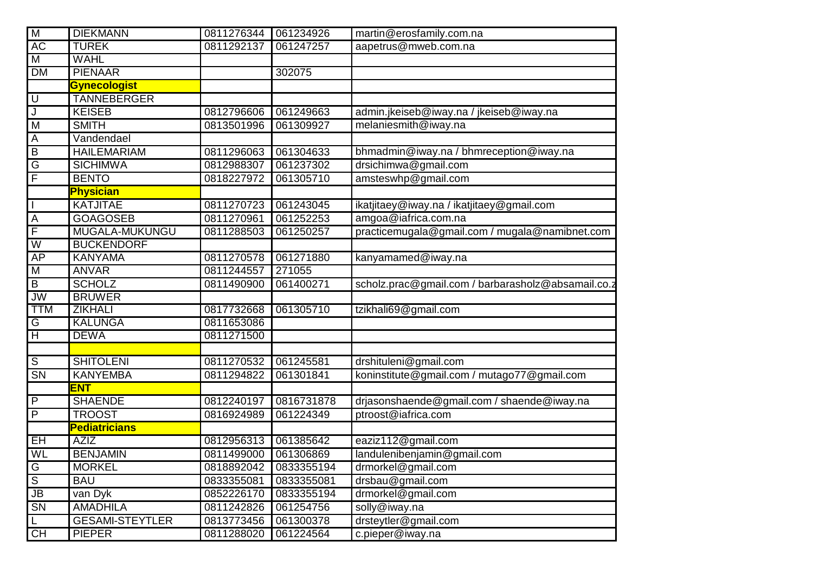| $\overline{\mathsf{M}}$           | <b>DIEKMANN</b>        | 0811276344 | 061234926  | martin@erosfamily.com.na                           |
|-----------------------------------|------------------------|------------|------------|----------------------------------------------------|
| AC                                | <b>TUREK</b>           | 0811292137 | 061247257  | aapetrus@mweb.com.na                               |
| $\overline{\mathsf{M}}$           | <b>WAHL</b>            |            |            |                                                    |
| <b>DM</b>                         | <b>PIENAAR</b>         |            | 302075     |                                                    |
|                                   | <b>Gynecologist</b>    |            |            |                                                    |
| ℿ                                 | <b>TANNEBERGER</b>     |            |            |                                                    |
| $\overline{\mathsf{J}}$           | <b>KEISEB</b>          | 0812796606 | 061249663  | admin.jkeiseb@iway.na / jkeiseb@iway.na            |
| M                                 | <b>SMITH</b>           | 0813501996 | 061309927  | melaniesmith@iway.na                               |
| A                                 | Vandendael             |            |            |                                                    |
| $\overline{B}$                    | <b>HAILEMARIAM</b>     | 0811296063 | 061304633  | bhmadmin@iway.na / bhmreception@iway.na            |
| $\overline{\mathsf{G}}$           | <b>SICHIMWA</b>        | 0812988307 | 061237302  | drsichimwa@gmail.com                               |
| $\overline{F}$                    | <b>BENTO</b>           | 0818227972 | 061305710  | amsteswhp@gmail.com                                |
|                                   | <b>Physician</b>       |            |            |                                                    |
| $\overline{\mathsf{I}}$           | <b>KATJITAE</b>        | 0811270723 | 061243045  | ikatjitaey@iway.na / ikatjitaey@gmail.com          |
| $\overline{A}$                    | <b>GOAGOSEB</b>        | 0811270961 | 061252253  | amgoa@iafrica.com.na                               |
| $\overline{\mathsf{F}}$           | MUGALA-MUKUNGU         | 0811288503 | 061250257  | practicemugala@gmail.com / mugala@namibnet.com     |
| $\overline{W}$                    | <b>BUCKENDORF</b>      |            |            |                                                    |
| AP                                | <b>KANYAMA</b>         | 0811270578 | 061271880  | kanyamamed@iway.na                                 |
| $\overline{M}$                    | <b>ANVAR</b>           | 0811244557 | 271055     |                                                    |
| $\overline{B}$                    | <b>SCHOLZ</b>          | 0811490900 | 061400271  | scholz.prac@gmail.com / barbarasholz@absamail.co.z |
| <b>JW</b>                         | <b>BRUWER</b>          |            |            |                                                    |
| <b>TTM</b>                        | <b>ZIKHALI</b>         | 0817732668 | 061305710  | tzikhali69@gmail.com                               |
| $\overline{G}$                    | <b>KALUNGA</b>         | 0811653086 |            |                                                    |
| $\overline{H}$                    | <b>DEWA</b>            | 0811271500 |            |                                                    |
|                                   |                        |            |            |                                                    |
| $\overline{\mathsf{s}}$           | <b>SHITOLENI</b>       | 0811270532 | 061245581  | drshituleni@gmail.com                              |
| $\overline{\text{SN}}$            | <b>KANYEMBA</b>        | 0811294822 | 061301841  | koninstitute@gmail.com / mutago77@gmail.com        |
|                                   | <b>ENT</b>             |            |            |                                                    |
| $\overline{P}$                    | <b>SHAENDE</b>         | 0812240197 | 0816731878 | drjasonshaende@gmail.com / shaende@iway.na         |
| $\overline{P}$                    | <b>TROOST</b>          | 0816924989 | 061224349  | ptroost@iafrica.com                                |
|                                   | <b>Pediatricians</b>   |            |            |                                                    |
| EH                                | <b>AZIZ</b>            | 0812956313 | 061385642  | eaziz112@gmail.com                                 |
| W <sub>L</sub>                    | <b>BENJAMIN</b>        | 0811499000 | 061306869  | landulenibenjamin@gmail.com                        |
| $\overline{G}$                    | <b>MORKEL</b>          | 0818892042 | 0833355194 | drmorkel@gmail.com                                 |
| $\overline{s}$                    | <b>BAU</b>             | 0833355081 | 0833355081 | drsbau@gmail.com                                   |
| $\overline{\mathsf{J}\mathsf{B}}$ | van Dyk                | 0852226170 | 0833355194 | drmorkel@gmail.com                                 |
| $\overline{\text{SN}}$            | <b>AMADHILA</b>        | 0811242826 | 061254756  | solly@iway.na                                      |
| L                                 | <b>GESAMI-STEYTLER</b> | 0813773456 | 061300378  | drsteytler@gmail.com                               |
| CH                                | <b>PIEPER</b>          | 0811288020 | 061224564  | c.pieper@iway.na                                   |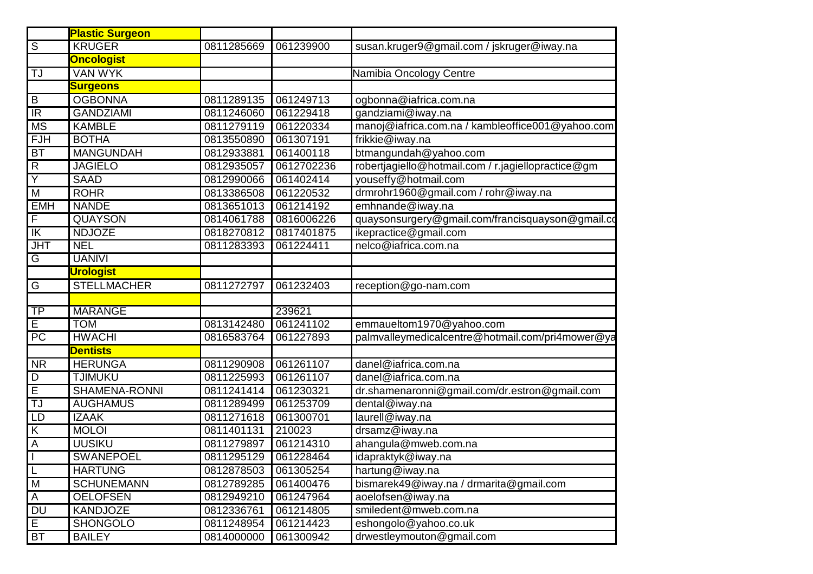|                         | <b>Plastic Surgeon</b> |            |            |                                                    |
|-------------------------|------------------------|------------|------------|----------------------------------------------------|
| $\overline{s}$          | <b>KRUGER</b>          | 0811285669 | 061239900  | susan.kruger9@gmail.com / jskruger@iway.na         |
|                         | <b>Oncologist</b>      |            |            |                                                    |
| TJ                      | <b>VAN WYK</b>         |            |            | Namibia Oncology Centre                            |
|                         | <b>Surgeons</b>        |            |            |                                                    |
| B                       | <b>OGBONNA</b>         | 0811289135 | 061249713  | ogbonna@iafrica.com.na                             |
| $\overline{\mathbb{R}}$ | <b>GANDZIAMI</b>       | 0811246060 | 061229418  | gandziami@iway.na                                  |
| <b>MS</b>               | <b>KAMBLE</b>          | 0811279119 | 061220334  | manoj@iafrica.com.na / kambleoffice001@yahoo.com   |
| FJH                     | <b>BOTHA</b>           | 0813550890 | 061307191  | frikkie@iway.na                                    |
| <b>BT</b>               | <b>MANGUNDAH</b>       | 0812933881 | 061400118  | btmangundah@yahoo.com                              |
| $\overline{R}$          | <b>JAGIELO</b>         | 0812935057 | 0612702236 | robertjagiello@hotmail.com / r.jagiellopractice@gm |
| $\overline{\mathsf{Y}}$ | <b>SAAD</b>            | 0812990066 | 061402414  | youseffy@hotmail.com                               |
| M                       | <b>ROHR</b>            | 0813386508 | 061220532  | drmrohr1960@gmail.com / rohr@iway.na               |
| <b>EMH</b>              | <b>NANDE</b>           | 0813651013 | 061214192  | emhnande@iway.na                                   |
| $\overline{F}$          | <b>QUAYSON</b>         | 0814061788 | 0816006226 | quaysonsurgery@gmail.com/francisquayson@gmail.cd   |
| $\overline{\mathbb{K}}$ | <b>NDJOZE</b>          | 0818270812 | 0817401875 | ikepractice@gmail.com                              |
| <b>JHT</b>              | <b>NEL</b>             | 0811283393 | 061224411  | nelco@iafrica.com.na                               |
| $\overline{G}$          | <b>UANIVI</b>          |            |            |                                                    |
|                         | <b>Urologist</b>       |            |            |                                                    |
| $\overline{G}$          | <b>STELLMACHER</b>     | 0811272797 | 061232403  | reception@go-nam.com                               |
|                         |                        |            |            |                                                    |
| <b>TP</b>               | <b>MARANGE</b>         |            | 239621     |                                                    |
| $\overline{E}$          | <b>TOM</b>             | 0813142480 | 061241102  | emmaueltom1970@yahoo.com                           |
| $\overline{PC}$         | <b>HWACHI</b>          | 0816583764 | 061227893  | palmvalleymedicalcentre@hotmail.com/pri4mower@ya   |
|                         | <b>Dentists</b>        |            |            |                                                    |
| <b>NR</b>               | <b>HERUNGA</b>         | 0811290908 | 061261107  | danel@iafrica.com.na                               |
| D                       | <b>TJIMUKU</b>         | 0811225993 | 061261107  | danel@iafrica.com.na                               |
| Ē                       | <b>SHAMENA-RONNI</b>   | 0811241414 | 061230321  | dr.shamenaronni@gmail.com/dr.estron@gmail.com      |
| TJ                      | <b>AUGHAMUS</b>        | 0811289499 | 061253709  | dental@iway.na                                     |
| LD                      | <b>IZAAK</b>           | 0811271618 | 061300701  | laurell@iway.na                                    |
| $\overline{K}$          | <b>MOLOI</b>           | 0811401131 | 210023     | drsamz@iway.na                                     |
| $\overline{A}$          | <b>UUSIKU</b>          | 0811279897 | 061214310  | ahangula@mweb.com.na                               |
| п                       | SWANEPOEL              | 0811295129 | 061228464  | idapraktyk@iway.na                                 |
| L                       | <b>HARTUNG</b>         | 0812878503 | 061305254  | hartung@iway.na                                    |
| $\overline{M}$          | <b>SCHUNEMANN</b>      | 0812789285 | 061400476  | bismarek49@iway.na / drmarita@gmail.com            |
| $\overline{A}$          | <b>OELOFSEN</b>        | 0812949210 | 061247964  | aoelofsen@iway.na                                  |
| $\overline{DU}$         | <b>KANDJOZE</b>        | 0812336761 | 061214805  | smiledent@mweb.com.na                              |
| $\overline{E}$          | <b>SHONGOLO</b>        | 0811248954 | 061214423  | eshongolo@yahoo.co.uk                              |
| <b>BT</b>               | <b>BAILEY</b>          | 0814000000 | 061300942  | drwestleymouton@gmail.com                          |